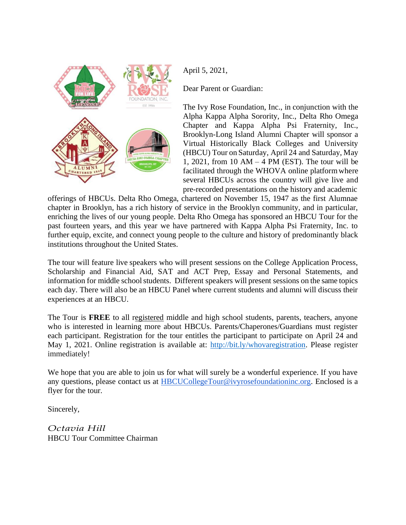

April 5, 2021,

Dear Parent or Guardian:

The Ivy Rose Foundation, Inc., in conjunction with the Alpha Kappa Alpha Sorority, Inc., Delta Rho Omega Chapter and Kappa Alpha Psi Fraternity, Inc., Brooklyn-Long Island Alumni Chapter will sponsor a Virtual Historically Black Colleges and University (HBCU) Tour on Saturday, April 24 and Saturday, May 1, 2021, from 10 AM  $-$  4 PM (EST). The tour will be facilitated through the WHOVA online platformwhere several HBCUs across the country will give live and pre-recorded presentations on the history and academic

offerings of HBCUs. Delta Rho Omega, chartered on November 15, 1947 as the first Alumnae chapter in Brooklyn, has a rich history of service in the Brooklyn community, and in particular, enriching the lives of our young people. Delta Rho Omega has sponsored an HBCU Tour for the past fourteen years, and this year we have partnered with Kappa Alpha Psi Fraternity, Inc. to further equip, excite, and connect young people to the culture and history of predominantly black institutions throughout the United States.

The tour will feature live speakers who will present sessions on the College Application Process, Scholarship and Financial Aid, SAT and ACT Prep, Essay and Personal Statements, and information for middle school students. Different speakers will present sessions on the same topics each day. There will also be an HBCU Panel where current students and alumni will discuss their experiences at an HBCU.

The Tour is **FREE** to all registered middle and high school students, parents, teachers, anyone who is interested in learning more about HBCUs. Parents/Chaperones/Guardians must register each participant. Registration for the tour entitles the participant to participate on April 24 and May 1, 2021. Online registration is available at: [http://bit.ly/whovaregistration. P](http://bit.ly/whovaregistration)lease register immediately!

We hope that you are able to join us for what will surely be a wonderful experience. If you have any questions, please contact us at [HBCUCollegeTour@ivyrosefoundationinc.org.](mailto:HBCUCollegeTour@ivyrosefoundationinc.org) Enclosed is a flyer for the tour.

Sincerely,

*Octavia Hill* HBCU Tour Committee Chairman